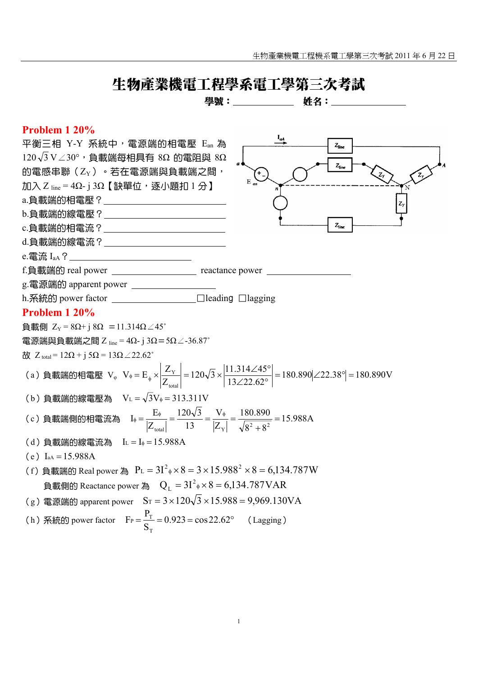# 生物產業機電工程學系電工學第三次考試

學號: 姓名:

## **Problem 1 20%**

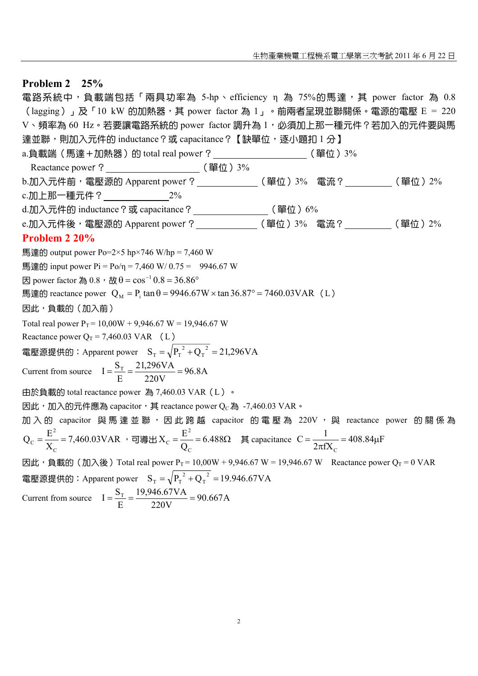### **Problem 2 25%**

電路系統中,負載端包括「兩具功率為 5-hp、efficiency η 為 75%的馬達,其 power factor 為 0.8  $\left(\frac{\text{lagging}}{\text{Reging}}\right)$  , 及  $\left[\frac{10 \text{ kW}}{\text{GMD}}\right]$ 熱器, 其 power factor 為  $1 - \text{e}$ 前兩者呈現並聯關係  $\text{e}$ 電源的電壓 E = 220 V、頻率為 60 Hz。若要讓電路系統的 power factor 調升為 1,必須加上那一種元件?若加入的元件要與馬 達並聯,則加入元件的 inductance?或 capacitance?【缺單位,逐小題扣 1 分】 a.負載端(馬達+加熱器)的 total real power? (單位) 3% Reactance power ? (單位) 3% b.加入元件前,電壓源的 Apparent power ? \_\_\_\_\_\_\_\_\_\_\_\_\_\_(單位)3% 電流 ? \_\_\_\_\_\_\_\_\_\_(單位)2% c.加上那一種元件? 2% d.加入元件的 inductance ? 或 capacitance ? \_\_\_\_\_\_\_\_\_\_\_\_\_\_\_\_\_\_(單位) 6% e.加入元件後,電壓源的 Apparent power ? \_\_\_\_\_\_\_\_\_\_\_\_\_\_(單位) 3% 電流 ? (單位) 2% **Problem 2 20%**  馬達的 output power Po=2×5 hp×746 W/hp = 7,460 W 馬達的 input power  $Pi = Po/n = 7,460$  W/  $0.75 = 9946.67$  W 因 power factor 為  $0.8 \cdot$  故 θ =  $\cos^{-1} 0.8 = 36.86^\circ$ 馬達的 reactance power  $Q_M = P_i \tan \theta = 9946.67W \times \tan 36.87^\circ = 7460.03VAR$  (L) 因此,負載的(加入前) Total real power  $P_T = 10,00W + 9,946.67 W = 19,946.67 W$ Reactance power  $Q_T = 7,460.03 \text{ VAR}$  (L) 電壓源提供的:Apparent power  $\quad \mathrm{S_T} = \sqrt{\mathrm{P_T}^2 + \mathrm{Q_T}^2} = 21{,}296 \mathrm{VA}$  $_{\rm T} = \sqrt{P_{\rm T}^{2} + Q_{\rm T}^{2}} =$ Current from source  $I = \frac{S_T}{R} = \frac{21,290 \text{ V A}}{220 \text{ V A}} = 96.8 \text{A}$ 220V 21,296VA E  $I = \frac{S_T}{S} = \frac{21,296 VA}{220 M} =$ 由於負載的 total reactance power 為 7,460.03 VAR(L)。 因此,加入的元件應為 capacitor, 其 reactance power Qc為 -7,460.03 VAR。 加入的 capacitor 與馬達並聯,因此跨越 capacitor 的電壓為 220V, 與 reactance power 的關係為 7,460.03VAR X  $Q_c = \frac{E}{\sqrt{2}}$ C 2  $\frac{E}{X_{\rm C}}$  = 7,460.03VAR ,可導出  $X_{\rm C}$  =  $\frac{E}{Q_{\rm C}}$  = 6.488Ω  $X_c = \frac{E}{c}$ C 2  $C = \frac{E}{Q_C} = 6.488 \Omega$  其 capacitance  $C = \frac{1}{2\pi fX_C} = 408.84 \mu F$  $C = \frac{1}{1}$ C  $=\frac{1}{2\pi fX_c}=408.84\mu$ 因此, 負載的(加入後) Total real power P<sub>T</sub> = 10,00W + 9,946.67 W = 19,946.67 W Reactance power Q<sub>T</sub> = 0 VAR 電壓源提供的:Apparent power  $\quad \mathrm{S_T} = \sqrt{\mathrm{P_T}^2 + \mathrm{Q_T}^2} = 19.946.67 \mathrm{VA}$  $T_{\rm T} = \sqrt{P_{\rm T}^{2} + Q_{\rm T}^{2}} =$ Current from source  $I = \frac{S_T}{I} = \frac{12.54667 \text{ V1}}{2000 \text{ V}} = 90.667 \text{ A}$ 220V 19,946.67VA E  $I = \frac{S_T}{I} = \frac{19,946.67 VA}{200 V} =$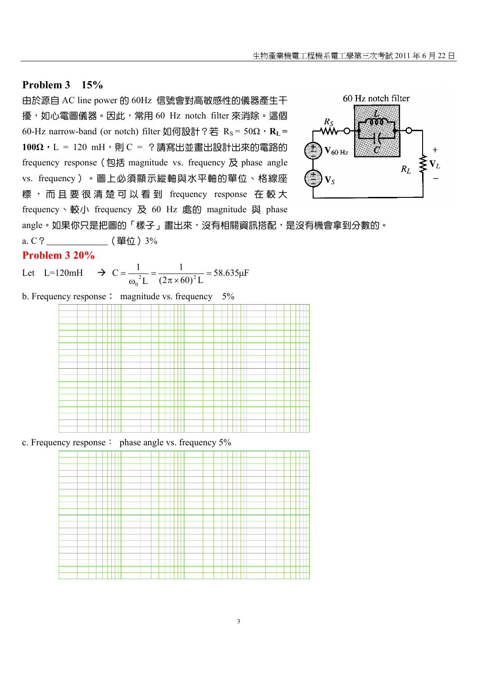## **Problem 3 15%**

由於源自 AC line power 的 60Hz 信號會對高敏感性的儀器產生干 擾,如心電圖儀器。因此,常用 60 Hz notch filter 來消除。這個 60-Hz narrow-band (or notch) filter 如何設計?若 R<sub>S</sub> = 50Ω, R<sub>L</sub> = **100Ω,** L = 120 mH, 則 C = ?請寫出並書出設計出來的電路的 frequency response (包括 magnitude vs. frequency  $R$  phase angle vs. frequency)。圖上必須顯示縱軸與水平軸的單位、格線座 標,而且要很清楚可以看到 frequency response 在較大 frequency、較小 frequency 及 60 Hz 處的 magnitude 與 phase



angle。如果你只是把圖的「樣子」畫出來,沒有相關資訊搭配,是沒有機會拿到分數的。

a. C? \_\_\_\_\_\_\_\_\_\_\_\_(單位) 3%

#### **Problem 3 20%**

Let L=120mH  $\rightarrow$  C =  $\frac{1}{2}$  =  $\frac{1}{(8.68)^{27}}$  = 58.635 $\mu$ F  $(2\pi \times 60)^2$  L 1  $C = {1 \over {\omega_0}^2 L} = {1 \over {(2\pi \times 60)}^2}$  $\boldsymbol{0}$  $=\frac{1}{\omega_0^2 L}=\frac{1}{(2\pi\times 60)^2 L}=58.635\mu$ 

b. Frequency response: magnitude vs. frequency 5%



c. Frequency response: phase angle vs. frequency 5%

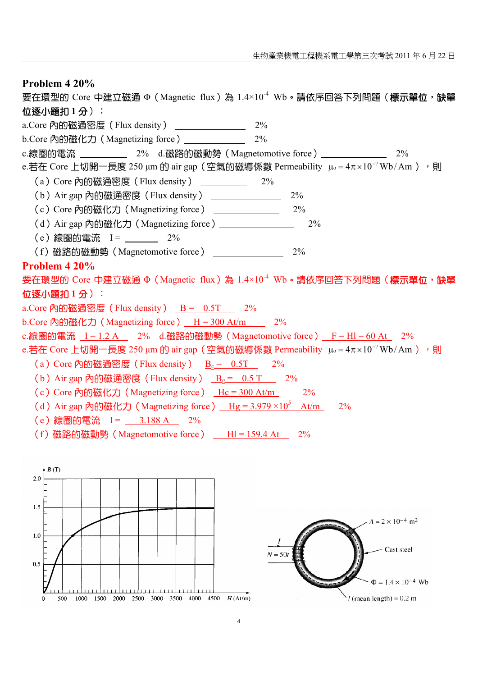| Problem 4 20%                                                                                                              |
|----------------------------------------------------------------------------------------------------------------------------|
| 要在環型的 Core 中建立磁通 Φ (Magnetic flux)為 1.4×10 <sup>-4</sup> Wb · 請依序回答下列問題 (標示單位, 缺單                                          |
| 位逐小題扣1分):                                                                                                                  |
| $2\%$<br>a.Core 內的磁通密度 (Flux density) _______________                                                                      |
| b.Core 內的磁化力 (Magnetizing force) ______________ 2%                                                                         |
| c.線圈的電流 ___________ 2% d.磁路的磁動勢 (Magnetomotive force) _______________ 2%                                                   |
| e.若在 Core 上切開一長度 250 µm 的 air gap (空氣的磁導係數 Permeability $\mu_0 = 4\pi \times 10^{-7}$ Wb/Am ) , 則                          |
| (a) Core 內的磁通密度 (Flux density) 2%                                                                                          |
| (b) Air gap 內的磁通密度 (Flux density) _______________<br>$2\%$                                                                 |
| (c) Core 内的磁化力 (Magnetizing force) ______________<br>$2\%$                                                                 |
| (d) Air gap 内的磁化力 (Magnetizing force) _______________<br>2%                                                                |
| (e)線圏的電流 I= ______ 2%                                                                                                      |
| (f) 磁路的磁動勢 (Magnetomotive force) ______________<br>2%                                                                      |
| Problem 4 20%                                                                                                              |
| 要在環型的 Core 中建立磁通 Φ (Magnetic flux)為 1.4×10 <sup>-4</sup> Wb • 請依序回答下列問題 ( <b>標示單位,缺單</b>                                   |
| 位逐小題扣1分):                                                                                                                  |
| a.Core 內的磁通密度 (Flux density) B = 0.5T 2%                                                                                   |
| b.Core 內的磁化力 (Magnetizing force) $H = 300$ At/m 2%                                                                         |
| c.線圏的電流 $I = 1.2 A$ 2% d.磁路的磁動勢 (Magnetomotive force) $F = HI = 60 At$ 2%                                                  |
| e.若在 Core 上切開一長度 250 µm 的 air gap (空氣的磁導係數 Permeability $\mu_0 = 4\pi \times 10^{-7}$ Wb/Am ) , 則                          |
| (a) Core 內的磁通密度 (Flux density) $B_c = 0.5T$ 2%                                                                             |
| (b) Air gap 内的磁通密度 (Flux density) $B_2 = 0.5$ T 2%                                                                         |
| (c) Core 內的磁化力 (Magnetizing force) Hc = 300 At/m 2%                                                                        |
| (d) Air gap 内的磁化力 (Magnetizing force) $\frac{Hg}{3.979 \times 10^5}$ At/m 2%                                               |
| (e)線圈的電流 I= 3.188 A 2%                                                                                                     |
| (f) 磁路的磁動勢 (Magnetomotive force)<br>$HI = 159.4$ At<br>2%                                                                  |
|                                                                                                                            |
|                                                                                                                            |
| B(T)<br>2.0                                                                                                                |
|                                                                                                                            |
| 1.5                                                                                                                        |
| $A = 2 \times 10^{-4}$ m <sup>2</sup>                                                                                      |
| 1.0                                                                                                                        |
| Cast steel                                                                                                                 |
| $N = 50$                                                                                                                   |
| 0.5                                                                                                                        |
| $\Phi = 1.4 \times 10^{-4}$ Wb                                                                                             |
| $l$ (mean length) = 0.2 m<br>3000<br>4000<br>H(At/m)<br>$\mathbf 0$<br>1000<br>1500<br>2000<br>2500<br>3500<br>4500<br>500 |